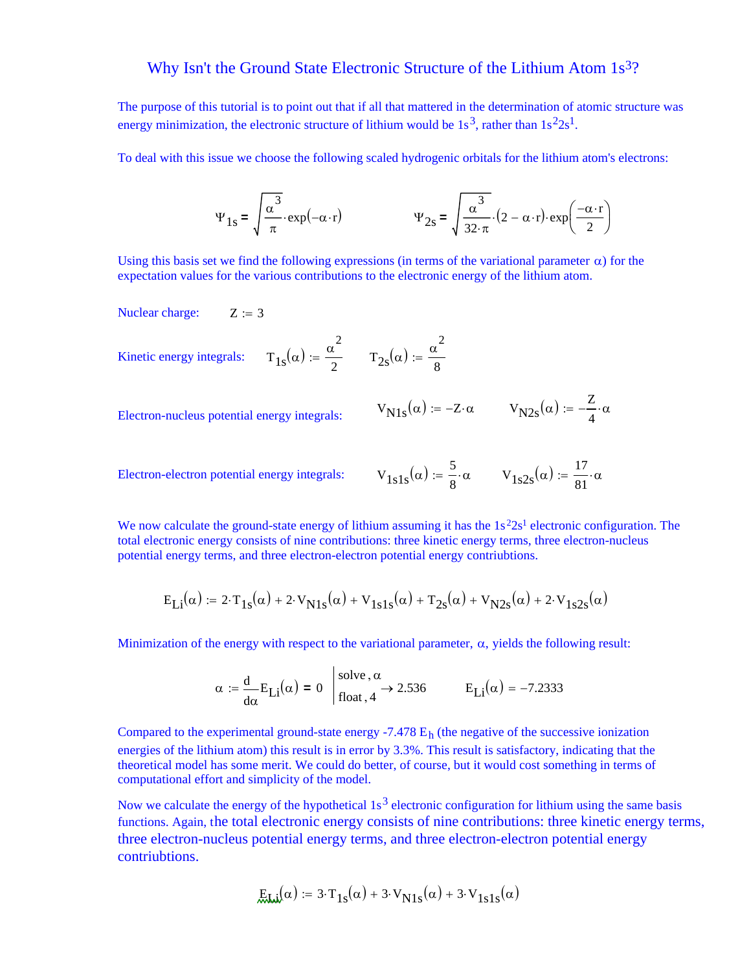## Why Isn't the Ground State Electronic Structure of the Lithium Atom 1s<sup>3</sup>?

The purpose of this tutorial is to point out that if all that mattered in the determination of atomic structure was energy minimization, the electronic structure of lithium would be  $1s<sup>3</sup>$ , rather than  $1s<sup>2</sup>2s<sup>1</sup>$ .

To deal with this issue we choose the following scaled hydrogenic orbitals for the lithium atom's electrons:

$$
\Psi_{1s} = \sqrt{\frac{\alpha^3}{\pi}} \cdot \exp(-\alpha \cdot r) \qquad \Psi_{2s} = \sqrt{\frac{\alpha^3}{32 \cdot \pi}} \cdot (2 - \alpha \cdot r) \cdot \exp\left(\frac{-\alpha \cdot r}{2}\right)
$$

Using this basis set we find the following expressions (in terms of the variational parameter  $\alpha$ ) for the expectation values for the various contributions to the electronic energy of the lithium atom.

Nuclear charge:  $Z := 3$ 

Kinetic energy integrals:  $\alpha^2$  $\tau = \frac{\alpha^2}{2}$   $T_{2s}(\alpha) = \frac{\alpha^2}{8}$ 8 :=

 $V_{N1s}(\alpha) := -Z \cdot \alpha$   $V_{N2s}(\alpha) := -\frac{Z}{4}$ Electron-nucleus potential energy integrals:  $V_{N1s}(\alpha) := -Z \cdot \alpha$   $V_{N2s}(\alpha) := -\frac{Z}{4} \cdot \alpha$ 

Electron-electron potential energy integrals:  $V_{1s1}$ 

$$
V_{1s}(\alpha) := \frac{5}{8} \cdot \alpha \qquad V_{1s2s}(\alpha) := \frac{17}{81} \cdot \alpha
$$

We now calculate the ground-state energy of lithium assuming it has the  $1s<sup>2</sup>2s<sup>1</sup>$  electronic configuration. The total electronic energy consists of nine contributions: three kinetic energy terms, three electron-nucleus potential energy terms, and three electron-electron potential energy contriubtions.

$$
E_{Li}(\alpha) := 2 \cdot T_{1s}(\alpha) + 2 \cdot V_{N1s}(\alpha) + V_{1s1s}(\alpha) + T_{2s}(\alpha) + V_{N2s}(\alpha) + 2 \cdot V_{1s2s}(\alpha)
$$

Minimization of the energy with respect to the variational parameter,  $\alpha$ , yields the following result:

$$
\alpha := \frac{d}{d\alpha} E_{Li}(\alpha) = 0 \quad \begin{cases} \text{solve}, \alpha \\ \text{float}, 4 \end{cases} \rightarrow 2.536 \quad E_{Li}(\alpha) = -7.2333
$$

Compared to the experimental ground-state energy  $-7.478$   $E<sub>h</sub>$  (the negative of the successive ionization energies of the lithium atom) this result is in error by 3.3%. This result is satisfactory, indicating that the theoretical model has some merit. We could do better, of course, but it would cost something in terms of computational effort and simplicity of the model.

Now we calculate the energy of the hypothetical  $1s<sup>3</sup>$  electronic configuration for lithium using the same basis functions. Again, the total electronic energy consists of nine contributions: three kinetic energy terms, three electron-nucleus potential energy terms, and three electron-electron potential energy contriubtions.

$$
\mathcal{L}_{\text{M}_2}(\alpha) := 3 \cdot T_{1s}(\alpha) + 3 \cdot V_{N1s}(\alpha) + 3 \cdot V_{1s1s}(\alpha)
$$